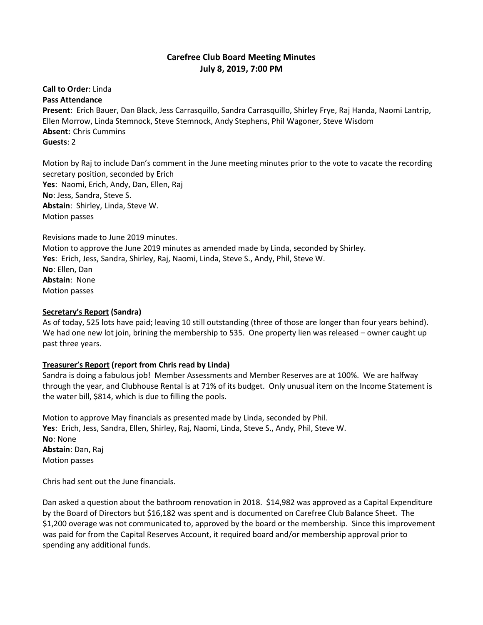# **Carefree Club Board Meeting Minutes July 8, 2019, 7:00 PM**

**Call to Order**: Linda **Pass Attendance**

**Present**: Erich Bauer, Dan Black, Jess Carrasquillo, Sandra Carrasquillo, Shirley Frye, Raj Handa, Naomi Lantrip, Ellen Morrow, Linda Stemnock, Steve Stemnock, Andy Stephens, Phil Wagoner, Steve Wisdom **Absent:** Chris Cummins **Guests**: 2

Motion by Raj to include Dan's comment in the June meeting minutes prior to the vote to vacate the recording secretary position, seconded by Erich **Yes**: Naomi, Erich, Andy, Dan, Ellen, Raj **No**: Jess, Sandra, Steve S. **Abstain**: Shirley, Linda, Steve W. Motion passes

Revisions made to June 2019 minutes. Motion to approve the June 2019 minutes as amended made by Linda, seconded by Shirley. **Yes**: Erich, Jess, Sandra, Shirley, Raj, Naomi, Linda, Steve S., Andy, Phil, Steve W. **No**: Ellen, Dan **Abstain**: None Motion passes

### **Secretary's Report (Sandra)**

As of today, 525 lots have paid; leaving 10 still outstanding (three of those are longer than four years behind). We had one new lot join, brining the membership to 535. One property lien was released – owner caught up past three years.

#### **Treasurer's Report (report from Chris read by Linda)**

Sandra is doing a fabulous job! Member Assessments and Member Reserves are at 100%. We are halfway through the year, and Clubhouse Rental is at 71% of its budget. Only unusual item on the Income Statement is the water bill, \$814, which is due to filling the pools.

Motion to approve May financials as presented made by Linda, seconded by Phil. **Yes**: Erich, Jess, Sandra, Ellen, Shirley, Raj, Naomi, Linda, Steve S., Andy, Phil, Steve W. **No**: None **Abstain**: Dan, Raj Motion passes

Chris had sent out the June financials.

Dan asked a question about the bathroom renovation in 2018. \$14,982 was approved as a Capital Expenditure by the Board of Directors but \$16,182 was spent and is documented on Carefree Club Balance Sheet. The \$1,200 overage was not communicated to, approved by the board or the membership. Since this improvement was paid for from the Capital Reserves Account, it required board and/or membership approval prior to spending any additional funds.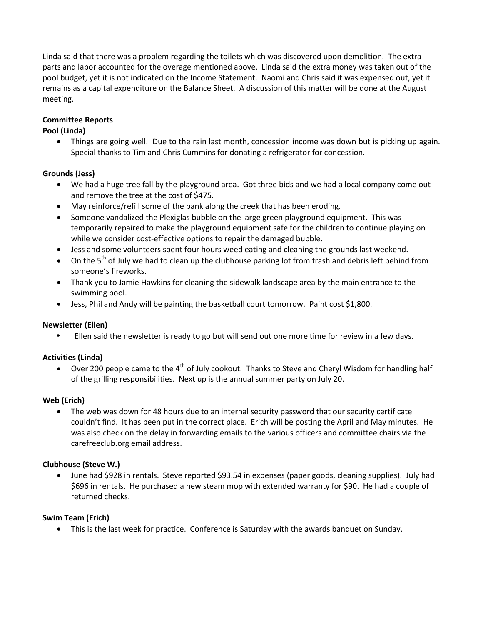Linda said that there was a problem regarding the toilets which was discovered upon demolition. The extra parts and labor accounted for the overage mentioned above. Linda said the extra money was taken out of the pool budget, yet it is not indicated on the Income Statement. Naomi and Chris said it was expensed out, yet it remains as a capital expenditure on the Balance Sheet. A discussion of this matter will be done at the August meeting.

# **Committee Reports**

## **Pool (Linda)**

 Things are going well. Due to the rain last month, concession income was down but is picking up again. Special thanks to Tim and Chris Cummins for donating a refrigerator for concession.

## **Grounds (Jess)**

- We had a huge tree fall by the playground area. Got three bids and we had a local company come out and remove the tree at the cost of \$475.
- May reinforce/refill some of the bank along the creek that has been eroding.
- Someone vandalized the Plexiglas bubble on the large green playground equipment. This was temporarily repaired to make the playground equipment safe for the children to continue playing on while we consider cost-effective options to repair the damaged bubble.
- Jess and some volunteers spent four hours weed eating and cleaning the grounds last weekend.
- $\bullet$  On the 5<sup>th</sup> of July we had to clean up the clubhouse parking lot from trash and debris left behind from someone's fireworks.
- Thank you to Jamie Hawkins for cleaning the sidewalk landscape area by the main entrance to the swimming pool.
- Jess, Phil and Andy will be painting the basketball court tomorrow. Paint cost \$1,800.

### **Newsletter (Ellen)**

• Ellen said the newsletter is ready to go but will send out one more time for review in a few days.

### **Activities (Linda)**

 $\bullet$  Over 200 people came to the 4<sup>th</sup> of July cookout. Thanks to Steve and Cheryl Wisdom for handling half of the grilling responsibilities. Next up is the annual summer party on July 20.

### **Web (Erich)**

 The web was down for 48 hours due to an internal security password that our security certificate couldn't find. It has been put in the correct place. Erich will be posting the April and May minutes. He was also check on the delay in forwarding emails to the various officers and committee chairs via the carefreeclub.org email address.

### **Clubhouse (Steve W.)**

 June had \$928 in rentals. Steve reported \$93.54 in expenses (paper goods, cleaning supplies). July had \$696 in rentals. He purchased a new steam mop with extended warranty for \$90. He had a couple of returned checks.

### **Swim Team (Erich)**

This is the last week for practice. Conference is Saturday with the awards banquet on Sunday.